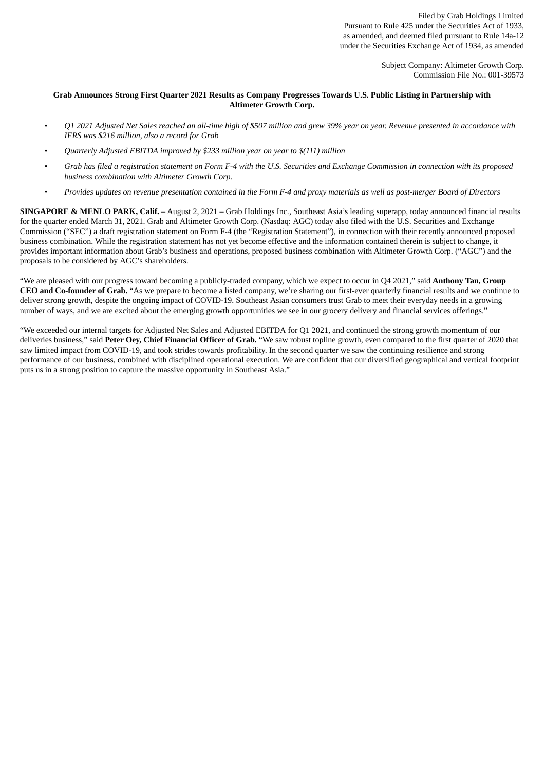Filed by Grab Holdings Limited Pursuant to Rule 425 under the Securities Act of 1933, as amended, and deemed filed pursuant to Rule 14a-12 under the Securities Exchange Act of 1934, as amended

> Subject Company: Altimeter Growth Corp. Commission File No.: 001-39573

# Grab Announces Strong First Quarter 2021 Results as Company Progresses Towards U.S. Public Listing in Partnership with **Altimeter Growth Corp.**

- Q1 2021 Adjusted Net Sales reached an all-time high of \$507 million and grew 39% year on year. Revenue presented in accordance with *IFRS was \$216 million, also a record for Grab*
- *Quarterly Adjusted EBITDA improved by \$233 million year on year to \$(111) million*
- Grab has filed a registration statement on Form F-4 with the U.S. Securities and Exchange Commission in connection with its proposed *business combination with Altimeter Growth Corp.*
- Provides updates on revenue presentation contained in the Form F-4 and proxy materials as well as post-merger Board of Directors

**SINGAPORE & MENLO PARK, Calif.** – August 2, 2021 – Grab Holdings Inc., Southeast Asia's leading superapp, today announced financial results for the quarter ended March 31, 2021. Grab and Altimeter Growth Corp. (Nasdaq: AGC) today also filed with the U.S. Securities and Exchange Commission ("SEC") a draft registration statement on Form F-4 (the "Registration Statement"), in connection with their recently announced proposed business combination. While the registration statement has not yet become effective and the information contained therein is subject to change, it provides important information about Grab's business and operations, proposed business combination with Altimeter Growth Corp. ("AGC") and the proposals to be considered by AGC's shareholders.

"We are pleased with our progress toward becoming a publicly-traded company, which we expect to occur in Q4 2021," said **Anthony Tan, Group CEO and Co-founder of Grab.** "As we prepare to become a listed company, we're sharing our first-ever quarterly financial results and we continue to deliver strong growth, despite the ongoing impact of COVID-19. Southeast Asian consumers trust Grab to meet their everyday needs in a growing number of ways, and we are excited about the emerging growth opportunities we see in our grocery delivery and financial services offerings."

"We exceeded our internal targets for Adjusted Net Sales and Adjusted EBITDA for Q1 2021, and continued the strong growth momentum of our deliveries business," said **Peter Oey, Chief Financial Officer of Grab.** "We saw robust topline growth, even compared to the first quarter of 2020 that saw limited impact from COVID-19, and took strides towards profitability. In the second quarter we saw the continuing resilience and strong performance of our business, combined with disciplined operational execution. We are confident that our diversified geographical and vertical footprint puts us in a strong position to capture the massive opportunity in Southeast Asia."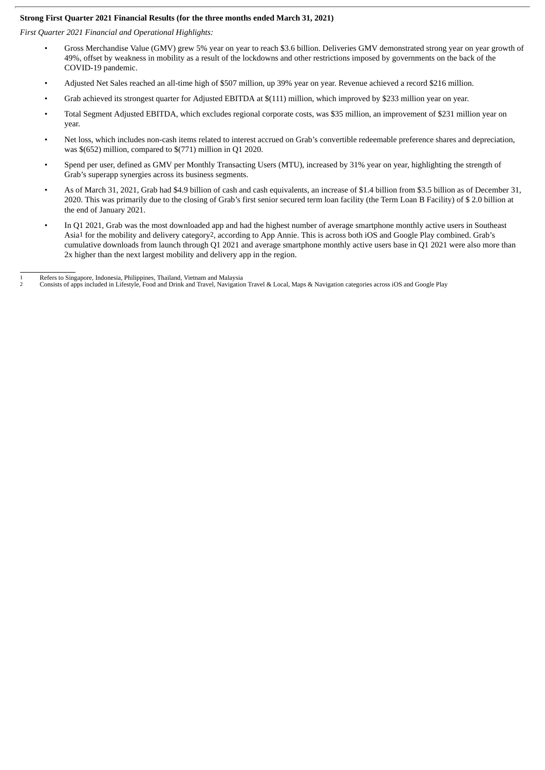# **Strong First Quarter 2021 Financial Results (for the three months ended March 31, 2021)**

*First Quarter 2021 Financial and Operational Highlights:*

- Gross Merchandise Value (GMV) grew 5% year on year to reach \$3.6 billion. Deliveries GMV demonstrated strong year on year growth of 49%, offset by weakness in mobility as a result of the lockdowns and other restrictions imposed by governments on the back of the COVID-19 pandemic.
- Adjusted Net Sales reached an all-time high of \$507 million, up 39% year on year. Revenue achieved a record \$216 million.
- Grab achieved its strongest quarter for Adjusted EBITDA at \$(111) million, which improved by \$233 million year on year.
- Total Segment Adjusted EBITDA, which excludes regional corporate costs, was \$35 million, an improvement of \$231 million year on year.
- Net loss, which includes non-cash items related to interest accrued on Grab's convertible redeemable preference shares and depreciation, was \$(652) million, compared to \$(771) million in Q1 2020.
- Spend per user, defined as GMV per Monthly Transacting Users (MTU), increased by 31% year on year, highlighting the strength of Grab's superapp synergies across its business segments.
- As of March 31, 2021, Grab had \$4.9 billion of cash and cash equivalents, an increase of \$1.4 billion from \$3.5 billion as of December 31, 2020. This was primarily due to the closing of Grab's first senior secured term loan facility (the Term Loan B Facility) of \$ 2.0 billion at the end of January 2021.
- In Q1 2021, Grab was the most downloaded app and had the highest number of average smartphone monthly active users in Southeast Asia1 for the mobility and delivery category2, according to App Annie. This is across both iOS and Google Play combined. Grab's cumulative downloads from launch through Q1 2021 and average smartphone monthly active users base in Q1 2021 were also more than 2x higher than the next largest mobility and delivery app in the region.

<sup>1</sup> Refers to Singapore, Indonesia, Philippines, Thailand, Vietnam and Malaysia

<sup>2</sup> Consists of apps included in Lifestyle, Food and Drink and Travel, Navigation Travel & Local, Maps & Navigation categories across iOS and Google Play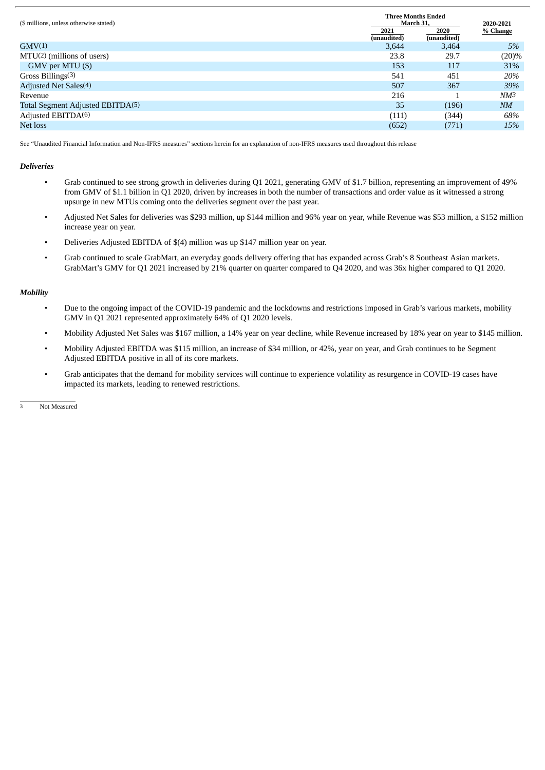| (\$ millions, unless otherwise stated) |                     | <b>Three Months Ended</b><br>March 31, |          |
|----------------------------------------|---------------------|----------------------------------------|----------|
|                                        | 2021<br>(unaudited) | 2020<br>(unaudited)                    | % Change |
| $\text{GMV}(1)$                        | 3.644               | 3,464                                  | 5%       |
| $MTU(2)$ (millions of users)           | 23.8                | 29.7                                   | $(20)\%$ |
| $GMV$ per MTU $(\$)$                   | 153                 | 117                                    | 31%      |
| Gross Billings(3)                      | 541                 | 451                                    | 20%      |
| <b>Adjusted Net Sales(4)</b>           | 507                 | 367                                    | 39%      |
| Revenue                                | 216                 |                                        | $NM^3$   |
| Total Segment Adjusted EBITDA(5)       | 35                  | (196)                                  | NM       |
| Adjusted EBITDA(6)                     | (111)               | (344)                                  | 68%      |
| Net loss                               | (652)               | (771)                                  | 15%      |

See "Unaudited Financial Information and Non-IFRS measures" sections herein for an explanation of non-IFRS measures used throughout this release

## *Deliveries*

- Grab continued to see strong growth in deliveries during Q1 2021, generating GMV of \$1.7 billion, representing an improvement of 49% from GMV of \$1.1 billion in Q1 2020, driven by increases in both the number of transactions and order value as it witnessed a strong upsurge in new MTUs coming onto the deliveries segment over the past year.
- Adjusted Net Sales for deliveries was \$293 million, up \$144 million and 96% year on year, while Revenue was \$53 million, a \$152 million increase year on year.
- Deliveries Adjusted EBITDA of \$(4) million was up \$147 million year on year.
- Grab continued to scale GrabMart, an everyday goods delivery offering that has expanded across Grab's 8 Southeast Asian markets. GrabMart's GMV for Q1 2021 increased by 21% quarter on quarter compared to Q4 2020, and was 36x higher compared to Q1 2020.

#### *Mobility*

- Due to the ongoing impact of the COVID-19 pandemic and the lockdowns and restrictions imposed in Grab's various markets, mobility GMV in Q1 2021 represented approximately 64% of Q1 2020 levels.
- Mobility Adjusted Net Sales was \$167 million, a 14% year on year decline, while Revenue increased by 18% year on year to \$145 million.
- Mobility Adjusted EBITDA was \$115 million, an increase of \$34 million, or 42%, year on year, and Grab continues to be Segment Adjusted EBITDA positive in all of its core markets.
- Grab anticipates that the demand for mobility services will continue to experience volatility as resurgence in COVID-19 cases have impacted its markets, leading to renewed restrictions.

3 Not Measured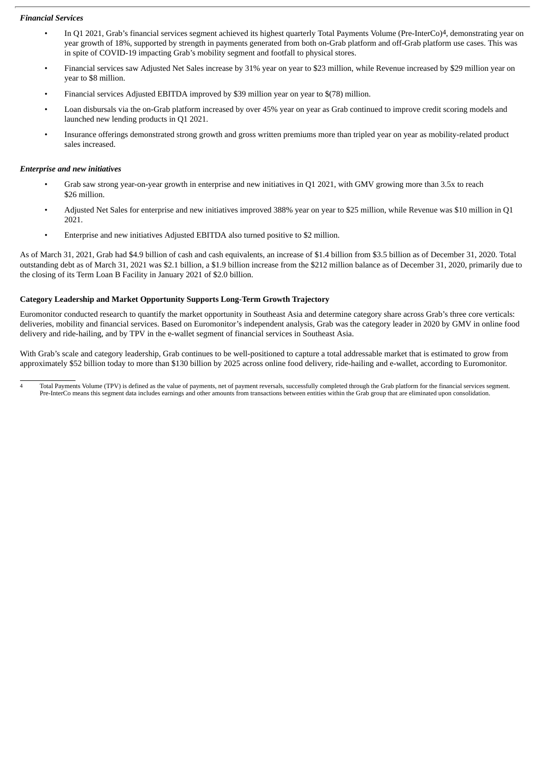## *Financial Services*

- In Q1 2021, Grab's financial services segment achieved its highest quarterly Total Payments Volume (Pre-InterCo)4, demonstrating year on year growth of 18%, supported by strength in payments generated from both on-Grab platform and off-Grab platform use cases. This was in spite of COVID-19 impacting Grab's mobility segment and footfall to physical stores.
- Financial services saw Adjusted Net Sales increase by 31% year on year to \$23 million, while Revenue increased by \$29 million year on year to \$8 million.
- Financial services Adjusted EBITDA improved by \$39 million year on year to \$(78) million.
- Loan disbursals via the on-Grab platform increased by over 45% year on year as Grab continued to improve credit scoring models and launched new lending products in Q1 2021.
- Insurance offerings demonstrated strong growth and gross written premiums more than tripled year on year as mobility-related product sales increased.

# *Enterprise and new initiatives*

- Grab saw strong year-on-year growth in enterprise and new initiatives in Q1 2021, with GMV growing more than 3.5x to reach \$26 million.
- Adjusted Net Sales for enterprise and new initiatives improved 388% year on year to \$25 million, while Revenue was \$10 million in Q1 2021.
- Enterprise and new initiatives Adjusted EBITDA also turned positive to \$2 million.

As of March 31, 2021, Grab had \$4.9 billion of cash and cash equivalents, an increase of \$1.4 billion from \$3.5 billion as of December 31, 2020. Total outstanding debt as of March 31, 2021 was \$2.1 billion, a \$1.9 billion increase from the \$212 million balance as of December 31, 2020, primarily due to the closing of its Term Loan B Facility in January 2021 of \$2.0 billion.

# **Category Leadership and Market Opportunity Supports Long-Term Growth Trajectory**

Euromonitor conducted research to quantify the market opportunity in Southeast Asia and determine category share across Grab's three core verticals: deliveries, mobility and financial services. Based on Euromonitor's independent analysis, Grab was the category leader in 2020 by GMV in online food delivery and ride-hailing, and by TPV in the e-wallet segment of financial services in Southeast Asia.

With Grab's scale and category leadership, Grab continues to be well-positioned to capture a total addressable market that is estimated to grow from approximately \$52 billion today to more than \$130 billion by 2025 across online food delivery, ride-hailing and e-wallet, according to Euromonitor.

Total Payments Volume (TPV) is defined as the value of payments, net of payment reversals, successfully completed through the Grab platform for the financial services segment. Pre-InterCo means this segment data includes earnings and other amounts from transactions between entities within the Grab group that are eliminated upon consolidation.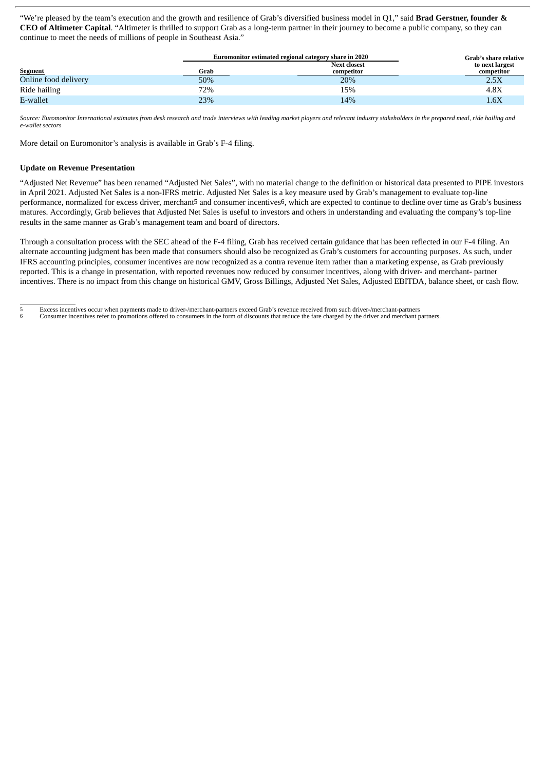"We're pleased by the team's execution and the growth and resilience of Grab's diversified business model in Q1," said **Brad Gerstner, founder & CEO of Altimeter Capital**. "Altimeter is thrilled to support Grab as a long-term partner in their journey to become a public company, so they can continue to meet the needs of millions of people in Southeast Asia."

|                      | Euromonitor estimated regional category share in 2020 |                                   | Grab's share relative         |  |
|----------------------|-------------------------------------------------------|-----------------------------------|-------------------------------|--|
| <b>Segment</b>       | Grab                                                  | <b>Next closest</b><br>competitor | to next largest<br>competitor |  |
| Online food delivery | 50%                                                   | 20%                               | 2.5X                          |  |
| Ride hailing         | 72%                                                   | 15%                               | 4.8X                          |  |
| E-wallet             | 23%                                                   | 14%                               | 1.6X                          |  |

Source: Euromonitor International estimates from desk research and trade interviews with leading market players and relevant industry stakeholders in the prepared meal, ride hailing and *e-wallet sectors*

More detail on Euromonitor's analysis is available in Grab's F-4 filing.

## **Update on Revenue Presentation**

"Adjusted Net Revenue" has been renamed "Adjusted Net Sales", with no material change to the definition or historical data presented to PIPE investors in April 2021. Adjusted Net Sales is a non-IFRS metric. Adjusted Net Sales is a key measure used by Grab's management to evaluate top-line performance, normalized for excess driver, merchant5 and consumer incentives6, which are expected to continue to decline over time as Grab's business matures. Accordingly, Grab believes that Adjusted Net Sales is useful to investors and others in understanding and evaluating the company's top-line results in the same manner as Grab's management team and board of directors.

Through a consultation process with the SEC ahead of the F-4 filing, Grab has received certain guidance that has been reflected in our F-4 filing. An alternate accounting judgment has been made that consumers should also be recognized as Grab's customers for accounting purposes. As such, under IFRS accounting principles, consumer incentives are now recognized as a contra revenue item rather than a marketing expense, as Grab previously reported. This is a change in presentation, with reported revenues now reduced by consumer incentives, along with driver- and merchant- partner incentives. There is no impact from this change on historical GMV, Gross Billings, Adjusted Net Sales, Adjusted EBITDA, balance sheet, or cash flow.

<sup>5</sup> Excess incentives occur when payments made to driver-/merchant-partners exceed Grab's revenue received from such driver-/merchant-partners

<sup>6</sup> Consumer incentives refer to promotions offered to consumers in the form of discounts that reduce the fare charged by the driver and merchant partners.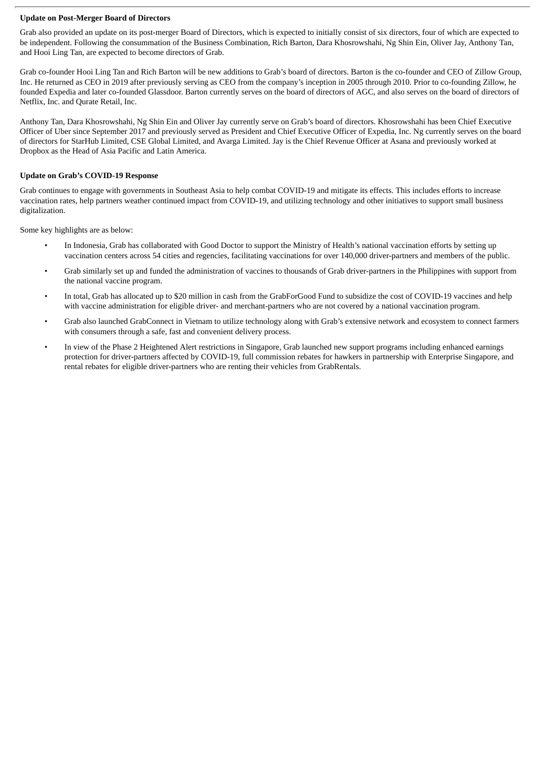## **Update on Post-Merger Board of Directors**

Grab also provided an update on its post-merger Board of Directors, which is expected to initially consist of six directors, four of which are expected to be independent. Following the consummation of the Business Combination, Rich Barton, Dara Khosrowshahi, Ng Shin Ein, Oliver Jay, Anthony Tan, and Hooi Ling Tan, are expected to become directors of Grab.

Grab co-founder Hooi Ling Tan and Rich Barton will be new additions to Grab's board of directors. Barton is the co-founder and CEO of Zillow Group, Inc. He returned as CEO in 2019 after previously serving as CEO from the company's inception in 2005 through 2010. Prior to co-founding Zillow, he founded Expedia and later co-founded Glassdoor. Barton currently serves on the board of directors of AGC, and also serves on the board of directors of Netflix, Inc. and Qurate Retail, Inc.

Anthony Tan, Dara Khosrowshahi, Ng Shin Ein and Oliver Jay currently serve on Grab's board of directors. Khosrowshahi has been Chief Executive Officer of Uber since September 2017 and previously served as President and Chief Executive Officer of Expedia, Inc. Ng currently serves on the board of directors for StarHub Limited, CSE Global Limited, and Avarga Limited. Jay is the Chief Revenue Officer at Asana and previously worked at Dropbox as the Head of Asia Pacific and Latin America.

## **Update on Grab's COVID-19 Response**

Grab continues to engage with governments in Southeast Asia to help combat COVID-19 and mitigate its effects. This includes efforts to increase vaccination rates, help partners weather continued impact from COVID-19, and utilizing technology and other initiatives to support small business digitalization.

Some key highlights are as below:

- In Indonesia, Grab has collaborated with Good Doctor to support the Ministry of Health's national vaccination efforts by setting up vaccination centers across 54 cities and regencies, facilitating vaccinations for over 140,000 driver-partners and members of the public.
- Grab similarly set up and funded the administration of vaccines to thousands of Grab driver-partners in the Philippines with support from the national vaccine program.
- In total, Grab has allocated up to \$20 million in cash from the GrabForGood Fund to subsidize the cost of COVID-19 vaccines and help with vaccine administration for eligible driver- and merchant-partners who are not covered by a national vaccination program.
- Grab also launched GrabConnect in Vietnam to utilize technology along with Grab's extensive network and ecosystem to connect farmers with consumers through a safe, fast and convenient delivery process.
- In view of the Phase 2 Heightened Alert restrictions in Singapore, Grab launched new support programs including enhanced earnings protection for driver-partners affected by COVID-19, full commission rebates for hawkers in partnership with Enterprise Singapore, and rental rebates for eligible driver-partners who are renting their vehicles from GrabRentals.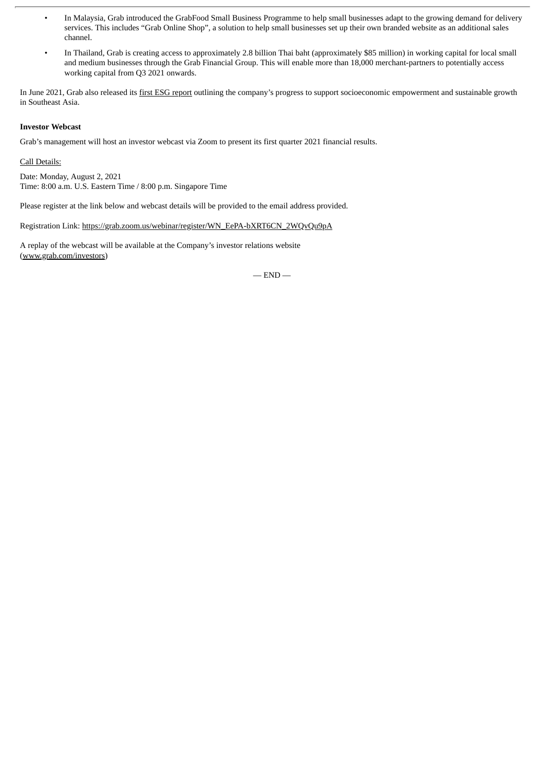- In Malaysia, Grab introduced the GrabFood Small Business Programme to help small businesses adapt to the growing demand for delivery services. This includes "Grab Online Shop", a solution to help small businesses set up their own branded website as an additional sales channel.
- In Thailand, Grab is creating access to approximately 2.8 billion Thai baht (approximately \$85 million) in working capital for local small and medium businesses through the Grab Financial Group. This will enable more than 18,000 merchant-partners to potentially access working capital from Q3 2021 onwards.

In June 2021, Grab also released its first ESG report outlining the company's progress to support socioeconomic empowerment and sustainable growth in Southeast Asia.

## **Investor Webcast**

Grab's management will host an investor webcast via Zoom to present its first quarter 2021 financial results.

Call Details:

Date: Monday, August 2, 2021 Time: 8:00 a.m. U.S. Eastern Time / 8:00 p.m. Singapore Time

Please register at the link below and webcast details will be provided to the email address provided.

Registration Link: https://grab.zoom.us/webinar/register/WN\_EePA-bXRT6CN\_2WQvQu9pA

A replay of the webcast will be available at the Company's investor relations website (www.grab.com/investors)

 $-$  END  $-$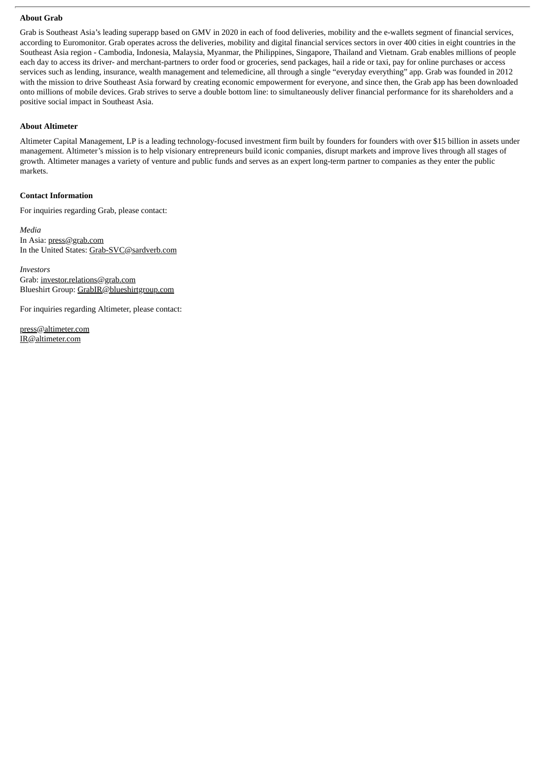## **About Grab**

Grab is Southeast Asia's leading superapp based on GMV in 2020 in each of food deliveries, mobility and the e-wallets segment of financial services, according to Euromonitor. Grab operates across the deliveries, mobility and digital financial services sectors in over 400 cities in eight countries in the Southeast Asia region - Cambodia, Indonesia, Malaysia, Myanmar, the Philippines, Singapore, Thailand and Vietnam. Grab enables millions of people each day to access its driver- and merchant-partners to order food or groceries, send packages, hail a ride or taxi, pay for online purchases or access services such as lending, insurance, wealth management and telemedicine, all through a single "everyday everything" app. Grab was founded in 2012 with the mission to drive Southeast Asia forward by creating economic empowerment for everyone, and since then, the Grab app has been downloaded onto millions of mobile devices. Grab strives to serve a double bottom line: to simultaneously deliver financial performance for its shareholders and a positive social impact in Southeast Asia.

# **About Altimeter**

Altimeter Capital Management, LP is a leading technology-focused investment firm built by founders for founders with over \$15 billion in assets under management. Altimeter's mission is to help visionary entrepreneurs build iconic companies, disrupt markets and improve lives through all stages of growth. Altimeter manages a variety of venture and public funds and serves as an expert long-term partner to companies as they enter the public markets.

# **Contact Information**

For inquiries regarding Grab, please contact:

*Media* In Asia: press@grab.com In the United States: Grab-SVC@sardverb.com

*Investors* Grab: investor.relations@grab.com Blueshirt Group: GrabIR@blueshirtgroup.com

For inquiries regarding Altimeter, please contact:

press@altimeter.com IR@altimeter.com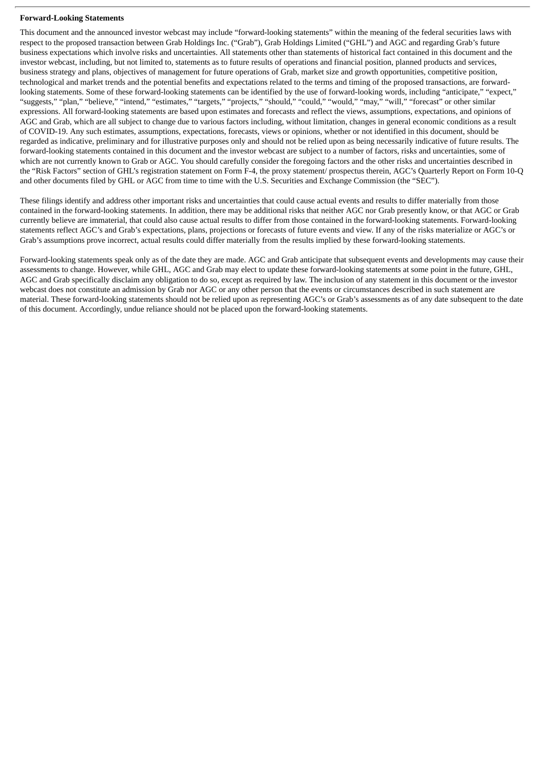## **Forward-Looking Statements**

This document and the announced investor webcast may include "forward-looking statements" within the meaning of the federal securities laws with respect to the proposed transaction between Grab Holdings Inc. ("Grab"), Grab Holdings Limited ("GHL") and AGC and regarding Grab's future business expectations which involve risks and uncertainties. All statements other than statements of historical fact contained in this document and the investor webcast, including, but not limited to, statements as to future results of operations and financial position, planned products and services, business strategy and plans, objectives of management for future operations of Grab, market size and growth opportunities, competitive position, technological and market trends and the potential benefits and expectations related to the terms and timing of the proposed transactions, are forwardlooking statements. Some of these forward-looking statements can be identified by the use of forward-looking words, including "anticipate," "expect," "suggests," "plan," "believe," "intend," "estimates," "targets," "projects," "should," "could," "would," "may," "will," "forecast" or other similar expressions. All forward-looking statements are based upon estimates and forecasts and reflect the views, assumptions, expectations, and opinions of AGC and Grab, which are all subject to change due to various factors including, without limitation, changes in general economic conditions as a result of COVID-19. Any such estimates, assumptions, expectations, forecasts, views or opinions, whether or not identified in this document, should be regarded as indicative, preliminary and for illustrative purposes only and should not be relied upon as being necessarily indicative of future results. The forward-looking statements contained in this document and the investor webcast are subject to a number of factors, risks and uncertainties, some of which are not currently known to Grab or AGC. You should carefully consider the foregoing factors and the other risks and uncertainties described in the "Risk Factors" section of GHL's registration statement on Form F-4, the proxy statement/ prospectus therein, AGC's Quarterly Report on Form 10-Q and other documents filed by GHL or AGC from time to time with the U.S. Securities and Exchange Commission (the "SEC").

These filings identify and address other important risks and uncertainties that could cause actual events and results to differ materially from those contained in the forward-looking statements. In addition, there may be additional risks that neither AGC nor Grab presently know, or that AGC or Grab currently believe are immaterial, that could also cause actual results to differ from those contained in the forward-looking statements. Forward-looking statements reflect AGC's and Grab's expectations, plans, projections or forecasts of future events and view. If any of the risks materialize or AGC's or Grab's assumptions prove incorrect, actual results could differ materially from the results implied by these forward-looking statements.

Forward-looking statements speak only as of the date they are made. AGC and Grab anticipate that subsequent events and developments may cause their assessments to change. However, while GHL, AGC and Grab may elect to update these forward-looking statements at some point in the future, GHL, AGC and Grab specifically disclaim any obligation to do so, except as required by law. The inclusion of any statement in this document or the investor webcast does not constitute an admission by Grab nor AGC or any other person that the events or circumstances described in such statement are material. These forward-looking statements should not be relied upon as representing AGC's or Grab's assessments as of any date subsequent to the date of this document. Accordingly, undue reliance should not be placed upon the forward-looking statements.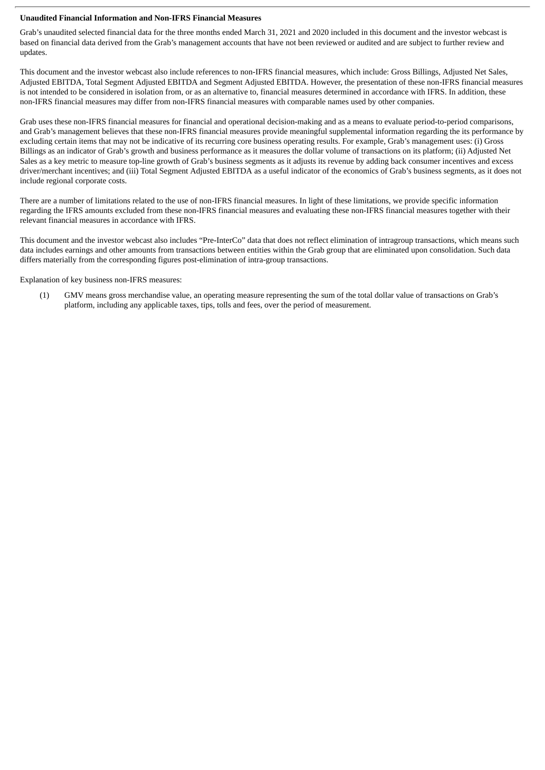## **Unaudited Financial Information and Non-IFRS Financial Measures**

Grab's unaudited selected financial data for the three months ended March 31, 2021 and 2020 included in this document and the investor webcast is based on financial data derived from the Grab's management accounts that have not been reviewed or audited and are subject to further review and updates.

This document and the investor webcast also include references to non-IFRS financial measures, which include: Gross Billings, Adjusted Net Sales, Adjusted EBITDA, Total Segment Adjusted EBITDA and Segment Adjusted EBITDA. However, the presentation of these non-IFRS financial measures is not intended to be considered in isolation from, or as an alternative to, financial measures determined in accordance with IFRS. In addition, these non-IFRS financial measures may differ from non-IFRS financial measures with comparable names used by other companies.

Grab uses these non-IFRS financial measures for financial and operational decision-making and as a means to evaluate period-to-period comparisons, and Grab's management believes that these non-IFRS financial measures provide meaningful supplemental information regarding the its performance by excluding certain items that may not be indicative of its recurring core business operating results. For example, Grab's management uses: (i) Gross Billings as an indicator of Grab's growth and business performance as it measures the dollar volume of transactions on its platform; (ii) Adjusted Net Sales as a key metric to measure top-line growth of Grab's business segments as it adjusts its revenue by adding back consumer incentives and excess driver/merchant incentives; and (iii) Total Segment Adjusted EBITDA as a useful indicator of the economics of Grab's business segments, as it does not include regional corporate costs.

There are a number of limitations related to the use of non-IFRS financial measures. In light of these limitations, we provide specific information regarding the IFRS amounts excluded from these non-IFRS financial measures and evaluating these non-IFRS financial measures together with their relevant financial measures in accordance with IFRS.

This document and the investor webcast also includes "Pre-InterCo" data that does not reflect elimination of intragroup transactions, which means such data includes earnings and other amounts from transactions between entities within the Grab group that are eliminated upon consolidation. Such data differs materially from the corresponding figures post-elimination of intra-group transactions.

Explanation of key business non-IFRS measures:

(1) GMV means gross merchandise value, an operating measure representing the sum of the total dollar value of transactions on Grab's platform, including any applicable taxes, tips, tolls and fees, over the period of measurement.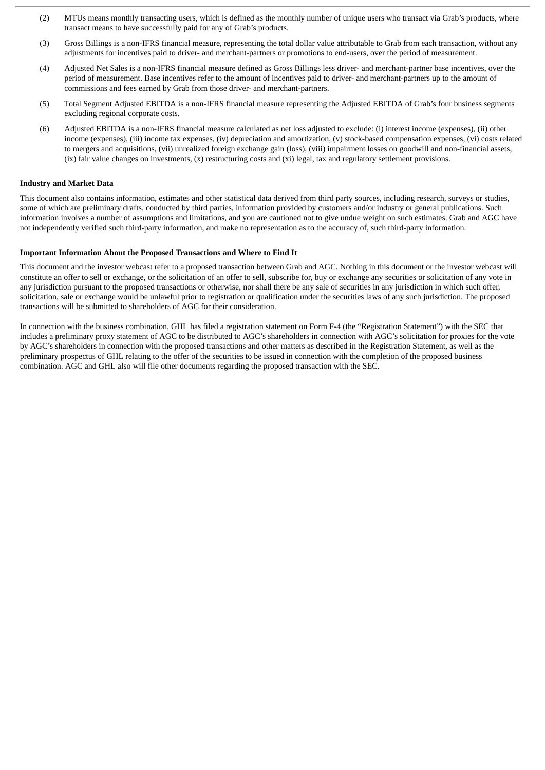- (2) MTUs means monthly transacting users, which is defined as the monthly number of unique users who transact via Grab's products, where transact means to have successfully paid for any of Grab's products.
- (3) Gross Billings is a non-IFRS financial measure, representing the total dollar value attributable to Grab from each transaction, without any adjustments for incentives paid to driver- and merchant-partners or promotions to end-users, over the period of measurement.
- (4) Adjusted Net Sales is a non-IFRS financial measure defined as Gross Billings less driver- and merchant-partner base incentives, over the period of measurement. Base incentives refer to the amount of incentives paid to driver- and merchant-partners up to the amount of commissions and fees earned by Grab from those driver- and merchant-partners.
- (5) Total Segment Adjusted EBITDA is a non-IFRS financial measure representing the Adjusted EBITDA of Grab's four business segments excluding regional corporate costs.
- (6) Adjusted EBITDA is a non-IFRS financial measure calculated as net loss adjusted to exclude: (i) interest income (expenses), (ii) other income (expenses), (iii) income tax expenses, (iv) depreciation and amortization, (v) stock-based compensation expenses, (vi) costs related to mergers and acquisitions, (vii) unrealized foreign exchange gain (loss), (viii) impairment losses on goodwill and non-financial assets,  $(ix)$  fair value changes on investments,  $(x)$  restructuring costs and  $(xi)$  legal, tax and regulatory settlement provisions.

## **Industry and Market Data**

This document also contains information, estimates and other statistical data derived from third party sources, including research, surveys or studies, some of which are preliminary drafts, conducted by third parties, information provided by customers and/or industry or general publications. Such information involves a number of assumptions and limitations, and you are cautioned not to give undue weight on such estimates. Grab and AGC have not independently verified such third-party information, and make no representation as to the accuracy of, such third-party information.

#### **Important Information About the Proposed Transactions and Where to Find It**

This document and the investor webcast refer to a proposed transaction between Grab and AGC. Nothing in this document or the investor webcast will constitute an offer to sell or exchange, or the solicitation of an offer to sell, subscribe for, buy or exchange any securities or solicitation of any vote in any jurisdiction pursuant to the proposed transactions or otherwise, nor shall there be any sale of securities in any jurisdiction in which such offer, solicitation, sale or exchange would be unlawful prior to registration or qualification under the securities laws of any such jurisdiction. The proposed transactions will be submitted to shareholders of AGC for their consideration.

In connection with the business combination, GHL has filed a registration statement on Form F-4 (the "Registration Statement") with the SEC that includes a preliminary proxy statement of AGC to be distributed to AGC's shareholders in connection with AGC's solicitation for proxies for the vote by AGC's shareholders in connection with the proposed transactions and other matters as described in the Registration Statement, as well as the preliminary prospectus of GHL relating to the offer of the securities to be issued in connection with the completion of the proposed business combination. AGC and GHL also will file other documents regarding the proposed transaction with the SEC.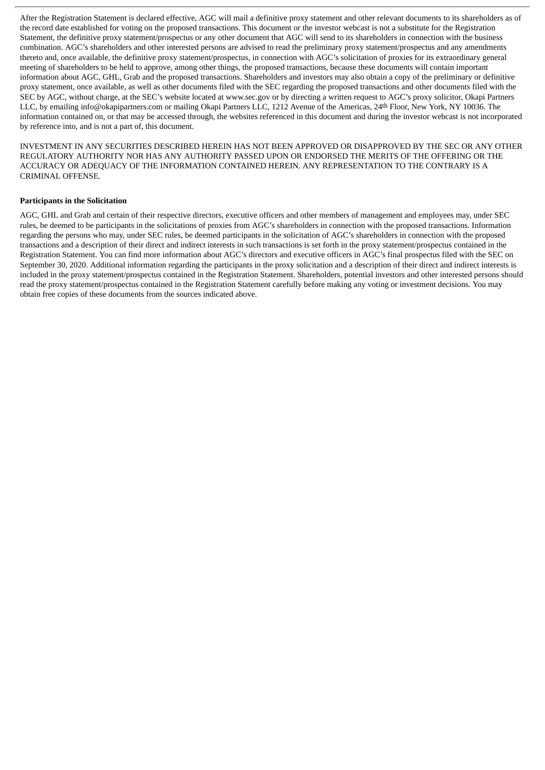After the Registration Statement is declared effective, AGC will mail a definitive proxy statement and other relevant documents to its shareholders as of the record date established for voting on the proposed transactions. This document or the investor webcast is not a substitute for the Registration Statement, the definitive proxy statement/prospectus or any other document that AGC will send to its shareholders in connection with the business combination. AGC's shareholders and other interested persons are advised to read the preliminary proxy statement/prospectus and any amendments thereto and, once available, the definitive proxy statement/prospectus, in connection with AGC's solicitation of proxies for its extraordinary general meeting of shareholders to be held to approve, among other things, the proposed transactions, because these documents will contain important information about AGC, GHL, Grab and the proposed transactions. Shareholders and investors may also obtain a copy of the preliminary or definitive proxy statement, once available, as well as other documents filed with the SEC regarding the proposed transactions and other documents filed with the SEC by AGC, without charge, at the SEC's website located at www.sec.gov or by directing a written request to AGC's proxy solicitor, Okapi Partners LLC, by emailing info@okapipartners.com or mailing Okapi Partners LLC, 1212 Avenue of the Americas, 24th Floor, New York, NY 10036. The information contained on, or that may be accessed through, the websites referenced in this document and during the investor webcast is not incorporated by reference into, and is not a part of, this document.

INVESTMENT IN ANY SECURITIES DESCRIBED HEREIN HAS NOT BEEN APPROVED OR DISAPPROVED BY THE SEC OR ANY OTHER REGULATORY AUTHORITY NOR HAS ANY AUTHORITY PASSED UPON OR ENDORSED THE MERITS OF THE OFFERING OR THE ACCURACY OR ADEQUACY OF THE INFORMATION CONTAINED HEREIN. ANY REPRESENTATION TO THE CONTRARY IS A CRIMINAL OFFENSE.

## **Participants in the Solicitation**

AGC, GHL and Grab and certain of their respective directors, executive officers and other members of management and employees may, under SEC rules, be deemed to be participants in the solicitations of proxies from AGC's shareholders in connection with the proposed transactions. Information regarding the persons who may, under SEC rules, be deemed participants in the solicitation of AGC's shareholders in connection with the proposed transactions and a description of their direct and indirect interests in such transactions is set forth in the proxy statement/prospectus contained in the Registration Statement. You can find more information about AGC's directors and executive officers in AGC's final prospectus filed with the SEC on September 30, 2020. Additional information regarding the participants in the proxy solicitation and a description of their direct and indirect interests is included in the proxy statement/prospectus contained in the Registration Statement. Shareholders, potential investors and other interested persons should read the proxy statement/prospectus contained in the Registration Statement carefully before making any voting or investment decisions. You may obtain free copies of these documents from the sources indicated above.